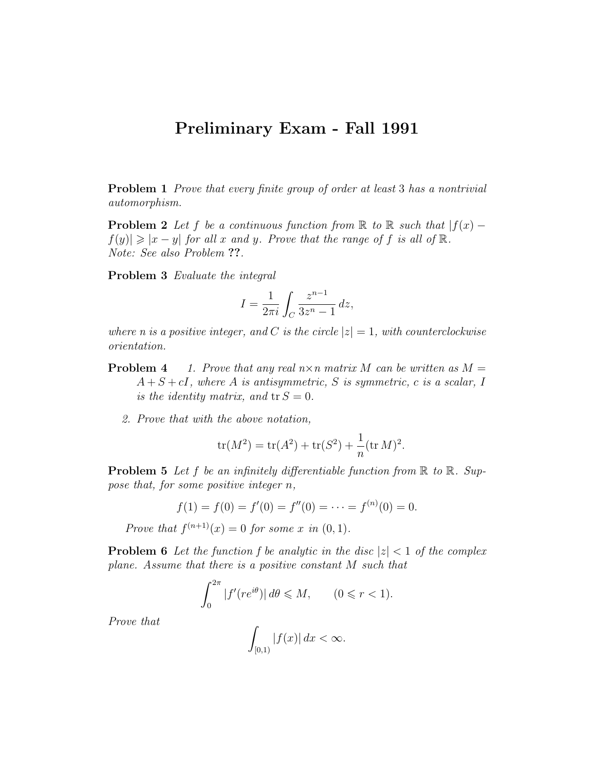## Preliminary Exam - Fall 1991

Problem 1 *Prove that every finite group of order at least* 3 has a nontrivial automorphism.

**Problem 2** Let f be a continuous function from R to R such that  $|f(x) |f(y)| \geq |x - y|$  for all x and y. Prove that the range of f is all of  $\mathbb{R}$ . Note: See also Problem ??.

Problem 3 Evaluate the integral

$$
I = \frac{1}{2\pi i} \int_C \frac{z^{n-1}}{3z^n - 1} \, dz,
$$

where n is a positive integer, and C is the circle  $|z|=1$ , with counterclockwise orientation.

- **Problem 4** 1. Prove that any real  $n \times n$  matrix M can be written as  $M =$  $A + S + cI$ , where A is antisymmetric, S is symmetric, c is a scalar, I is the identity matrix, and  $tr S = 0$ .
	- 2. Prove that with the above notation,

$$
\text{tr}(M^2) = \text{tr}(A^2) + \text{tr}(S^2) + \frac{1}{n}(\text{tr } M)^2.
$$

**Problem 5** Let f be an infinitely differentiable function from  $\mathbb R$  to  $\mathbb R$ . Suppose that, for some positive integer n,

$$
f(1) = f(0) = f'(0) = f''(0) = \dots = f^{(n)}(0) = 0.
$$

Prove that  $f^{(n+1)}(x) = 0$  for some x in  $(0, 1)$ .

**Problem 6** Let the function f be analytic in the disc  $|z| < 1$  of the complex plane. Assume that there is a positive constant M such that

$$
\int_0^{2\pi} |f'(re^{i\theta})| \, d\theta \leq M, \qquad (0 \leq r < 1).
$$

Prove that

$$
\int_{[0,1)} |f(x)| dx < \infty.
$$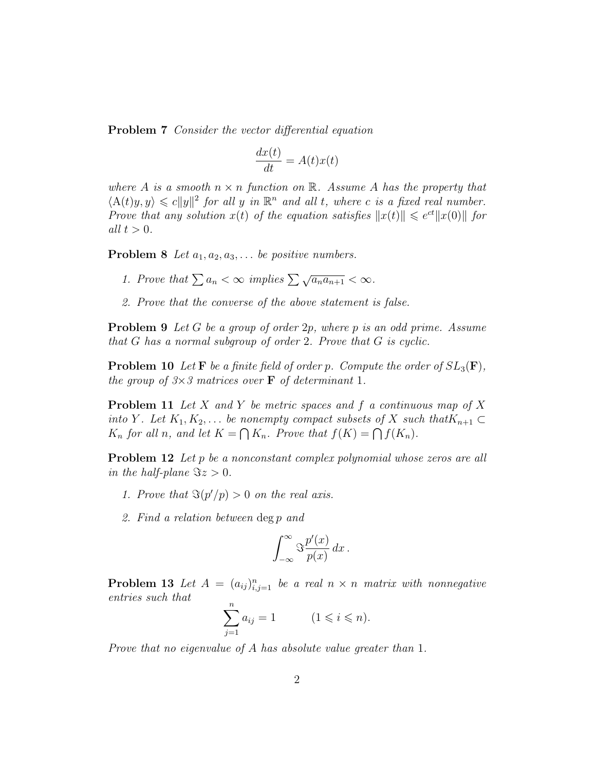**Problem 7** Consider the vector differential equation

$$
\frac{dx(t)}{dt} = A(t)x(t)
$$

where A is a smooth  $n \times n$  function on R. Assume A has the property that  $\langle A(t)y, y \rangle \leq c \|y\|^2$  for all y in  $\mathbb{R}^n$  and all t, where c is a fixed real number. Prove that any solution  $x(t)$  of the equation satisfies  $||x(t)|| \leq e^{ct} ||x(0)||$  for all  $t > 0$ .

**Problem 8** Let  $a_1, a_2, a_3, \ldots$  be positive numbers.

- 1. Prove that  $\sum a_n < \infty$  implies  $\sum \sqrt{a_n a_{n+1}} < \infty$ .
- 2. Prove that the converse of the above statement is false.

Problem 9 Let G be a group of order 2p, where p is an odd prime. Assume that G has a normal subgroup of order 2. Prove that G is cyclic.

**Problem 10** Let **F** be a finite field of order p. Compute the order of  $SL_3(\mathbf{F})$ , the group of  $3\times3$  matrices over **F** of determinant 1.

**Problem 11** Let X and Y be metric spaces and f a continuous map of X into Y. Let  $K_1, K_2, \ldots$  be nonempty compact subsets of X such that  $K_{n+1} \subset$  $K_n$  for all n, and let  $K = \bigcap K_n$ . Prove that  $f(K) = \bigcap f(K_n)$ .

**Problem 12** Let p be a nonconstant complex polynomial whose zeros are all in the half-plane  $\Im z > 0$ .

- 1. Prove that  $\Im(p'/p) > 0$  on the real axis.
- 2. Find a relation between deg p and

$$
\int_{-\infty}^{\infty} \Im \frac{p'(x)}{p(x)} dx.
$$

**Problem 13** Let  $A = (a_{ij})_{i,j=1}^n$  be a real  $n \times n$  matrix with nonnegative entries such that

$$
\sum_{j=1}^{n} a_{ij} = 1 \qquad (1 \leq i \leq n).
$$

Prove that no eigenvalue of A has absolute value greater than 1.